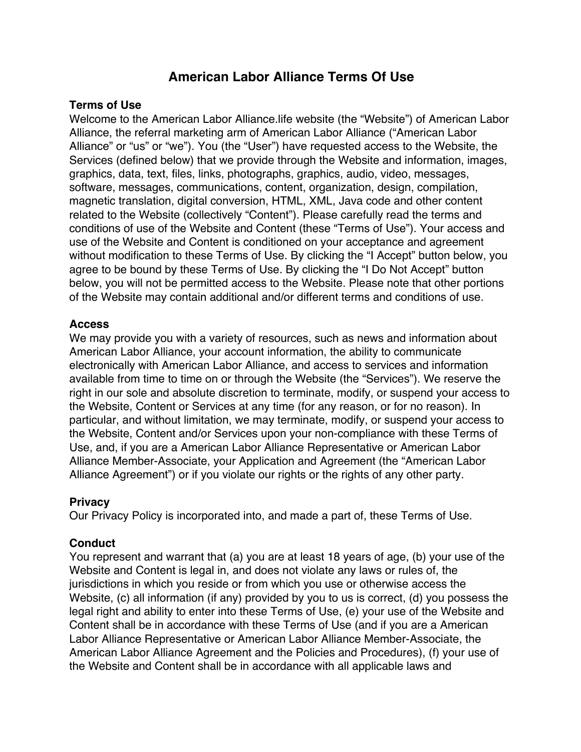# **American Labor Alliance Terms Of Use**

### **Terms of Use**

Welcome to the American Labor Alliance.life website (the "Website") of American Labor Alliance, the referral marketing arm of American Labor Alliance ("American Labor Alliance" or "us" or "we"). You (the "User") have requested access to the Website, the Services (defined below) that we provide through the Website and information, images, graphics, data, text, files, links, photographs, graphics, audio, video, messages, software, messages, communications, content, organization, design, compilation, magnetic translation, digital conversion, HTML, XML, Java code and other content related to the Website (collectively "Content"). Please carefully read the terms and conditions of use of the Website and Content (these "Terms of Use"). Your access and use of the Website and Content is conditioned on your acceptance and agreement without modification to these Terms of Use. By clicking the "I Accept" button below, you agree to be bound by these Terms of Use. By clicking the "I Do Not Accept" button below, you will not be permitted access to the Website. Please note that other portions of the Website may contain additional and/or different terms and conditions of use.

#### **Access**

We may provide you with a variety of resources, such as news and information about American Labor Alliance, your account information, the ability to communicate electronically with American Labor Alliance, and access to services and information available from time to time on or through the Website (the "Services"). We reserve the right in our sole and absolute discretion to terminate, modify, or suspend your access to the Website, Content or Services at any time (for any reason, or for no reason). In particular, and without limitation, we may terminate, modify, or suspend your access to the Website, Content and/or Services upon your non-compliance with these Terms of Use, and, if you are a American Labor Alliance Representative or American Labor Alliance Member-Associate, your Application and Agreement (the "American Labor Alliance Agreement") or if you violate our rights or the rights of any other party.

#### **Privacy**

Our Privacy Policy is incorporated into, and made a part of, these Terms of Use.

# **Conduct**

You represent and warrant that (a) you are at least 18 years of age, (b) your use of the Website and Content is legal in, and does not violate any laws or rules of, the jurisdictions in which you reside or from which you use or otherwise access the Website, (c) all information (if any) provided by you to us is correct, (d) you possess the legal right and ability to enter into these Terms of Use, (e) your use of the Website and Content shall be in accordance with these Terms of Use (and if you are a American Labor Alliance Representative or American Labor Alliance Member-Associate, the American Labor Alliance Agreement and the Policies and Procedures), (f) your use of the Website and Content shall be in accordance with all applicable laws and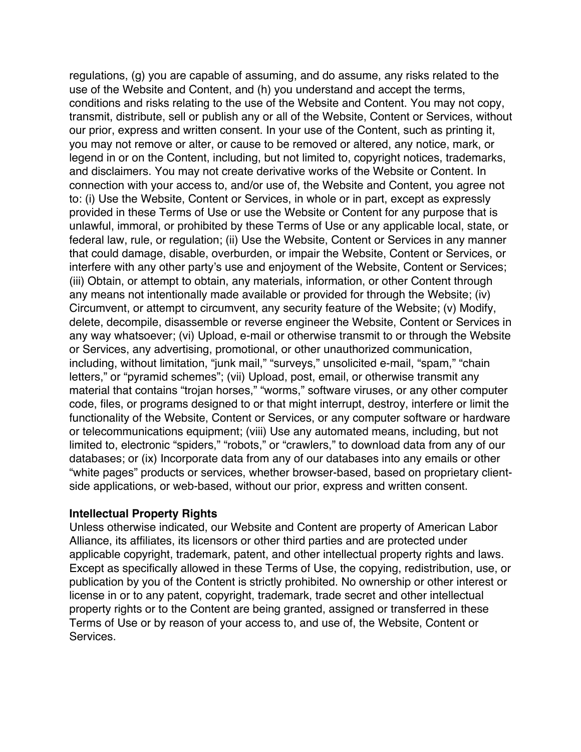regulations, (g) you are capable of assuming, and do assume, any risks related to the use of the Website and Content, and (h) you understand and accept the terms, conditions and risks relating to the use of the Website and Content. You may not copy, transmit, distribute, sell or publish any or all of the Website, Content or Services, without our prior, express and written consent. In your use of the Content, such as printing it, you may not remove or alter, or cause to be removed or altered, any notice, mark, or legend in or on the Content, including, but not limited to, copyright notices, trademarks, and disclaimers. You may not create derivative works of the Website or Content. In connection with your access to, and/or use of, the Website and Content, you agree not to: (i) Use the Website, Content or Services, in whole or in part, except as expressly provided in these Terms of Use or use the Website or Content for any purpose that is unlawful, immoral, or prohibited by these Terms of Use or any applicable local, state, or federal law, rule, or regulation; (ii) Use the Website, Content or Services in any manner that could damage, disable, overburden, or impair the Website, Content or Services, or interfere with any other party's use and enjoyment of the Website, Content or Services; (iii) Obtain, or attempt to obtain, any materials, information, or other Content through any means not intentionally made available or provided for through the Website; (iv) Circumvent, or attempt to circumvent, any security feature of the Website; (v) Modify, delete, decompile, disassemble or reverse engineer the Website, Content or Services in any way whatsoever; (vi) Upload, e-mail or otherwise transmit to or through the Website or Services, any advertising, promotional, or other unauthorized communication, including, without limitation, "junk mail," "surveys," unsolicited e-mail, "spam," "chain letters," or "pyramid schemes"; (vii) Upload, post, email, or otherwise transmit any material that contains "trojan horses," "worms," software viruses, or any other computer code, files, or programs designed to or that might interrupt, destroy, interfere or limit the functionality of the Website, Content or Services, or any computer software or hardware or telecommunications equipment; (viii) Use any automated means, including, but not limited to, electronic "spiders," "robots," or "crawlers," to download data from any of our databases; or (ix) Incorporate data from any of our databases into any emails or other "white pages" products or services, whether browser-based, based on proprietary clientside applications, or web-based, without our prior, express and written consent.

# **Intellectual Property Rights**

Unless otherwise indicated, our Website and Content are property of American Labor Alliance, its affiliates, its licensors or other third parties and are protected under applicable copyright, trademark, patent, and other intellectual property rights and laws. Except as specifically allowed in these Terms of Use, the copying, redistribution, use, or publication by you of the Content is strictly prohibited. No ownership or other interest or license in or to any patent, copyright, trademark, trade secret and other intellectual property rights or to the Content are being granted, assigned or transferred in these Terms of Use or by reason of your access to, and use of, the Website, Content or Services.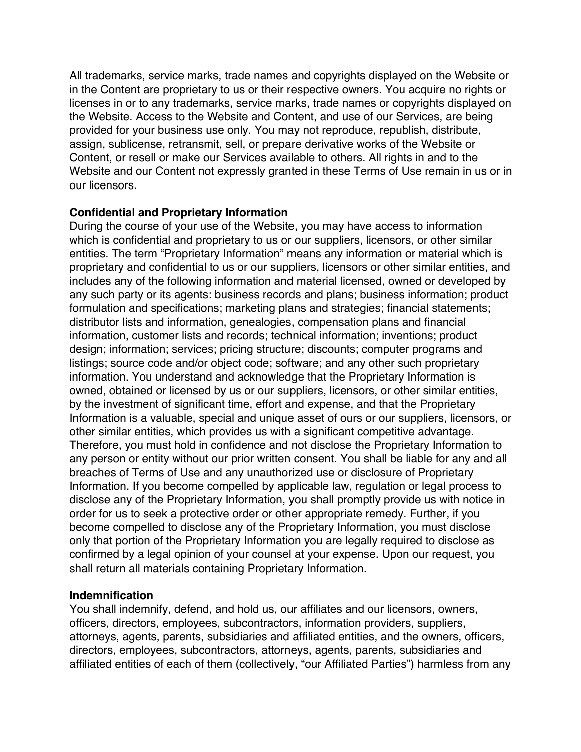All trademarks, service marks, trade names and copyrights displayed on the Website or in the Content are proprietary to us or their respective owners. You acquire no rights or licenses in or to any trademarks, service marks, trade names or copyrights displayed on the Website. Access to the Website and Content, and use of our Services, are being provided for your business use only. You may not reproduce, republish, distribute, assign, sublicense, retransmit, sell, or prepare derivative works of the Website or Content, or resell or make our Services available to others. All rights in and to the Website and our Content not expressly granted in these Terms of Use remain in us or in our licensors.

# **Confidential and Proprietary Information**

During the course of your use of the Website, you may have access to information which is confidential and proprietary to us or our suppliers, licensors, or other similar entities. The term "Proprietary Information" means any information or material which is proprietary and confidential to us or our suppliers, licensors or other similar entities, and includes any of the following information and material licensed, owned or developed by any such party or its agents: business records and plans; business information; product formulation and specifications; marketing plans and strategies; financial statements; distributor lists and information, genealogies, compensation plans and financial information, customer lists and records; technical information; inventions; product design; information; services; pricing structure; discounts; computer programs and listings; source code and/or object code; software; and any other such proprietary information. You understand and acknowledge that the Proprietary Information is owned, obtained or licensed by us or our suppliers, licensors, or other similar entities, by the investment of significant time, effort and expense, and that the Proprietary Information is a valuable, special and unique asset of ours or our suppliers, licensors, or other similar entities, which provides us with a significant competitive advantage. Therefore, you must hold in confidence and not disclose the Proprietary Information to any person or entity without our prior written consent. You shall be liable for any and all breaches of Terms of Use and any unauthorized use or disclosure of Proprietary Information. If you become compelled by applicable law, regulation or legal process to disclose any of the Proprietary Information, you shall promptly provide us with notice in order for us to seek a protective order or other appropriate remedy. Further, if you become compelled to disclose any of the Proprietary Information, you must disclose only that portion of the Proprietary Information you are legally required to disclose as confirmed by a legal opinion of your counsel at your expense. Upon our request, you shall return all materials containing Proprietary Information.

# **Indemnification**

You shall indemnify, defend, and hold us, our affiliates and our licensors, owners, officers, directors, employees, subcontractors, information providers, suppliers, attorneys, agents, parents, subsidiaries and affiliated entities, and the owners, officers, directors, employees, subcontractors, attorneys, agents, parents, subsidiaries and affiliated entities of each of them (collectively, "our Affiliated Parties") harmless from any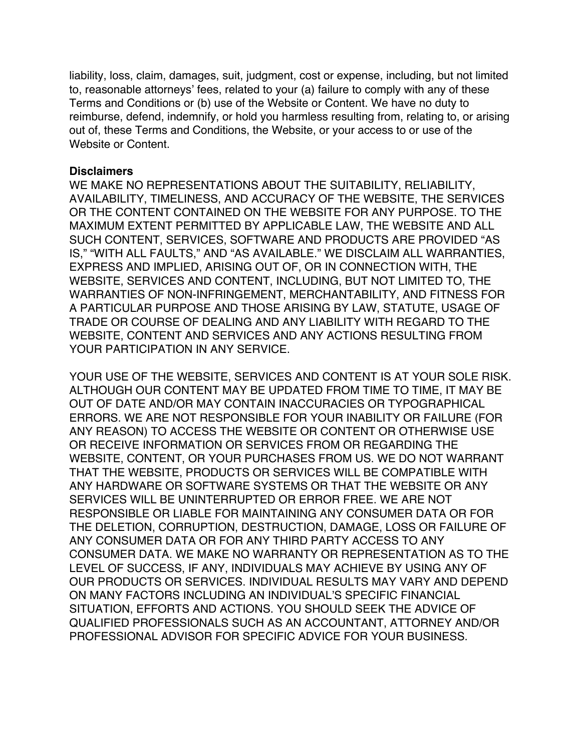liability, loss, claim, damages, suit, judgment, cost or expense, including, but not limited to, reasonable attorneys' fees, related to your (a) failure to comply with any of these Terms and Conditions or (b) use of the Website or Content. We have no duty to reimburse, defend, indemnify, or hold you harmless resulting from, relating to, or arising out of, these Terms and Conditions, the Website, or your access to or use of the Website or Content.

#### **Disclaimers**

WE MAKE NO REPRESENTATIONS ABOUT THE SUITABILITY, RELIABILITY, AVAILABILITY, TIMELINESS, AND ACCURACY OF THE WEBSITE, THE SERVICES OR THE CONTENT CONTAINED ON THE WEBSITE FOR ANY PURPOSE. TO THE MAXIMUM EXTENT PERMITTED BY APPLICABLE LAW, THE WEBSITE AND ALL SUCH CONTENT, SERVICES, SOFTWARE AND PRODUCTS ARE PROVIDED "AS IS," "WITH ALL FAULTS," AND "AS AVAILABLE." WE DISCLAIM ALL WARRANTIES, EXPRESS AND IMPLIED, ARISING OUT OF, OR IN CONNECTION WITH, THE WEBSITE, SERVICES AND CONTENT, INCLUDING, BUT NOT LIMITED TO, THE WARRANTIES OF NON-INFRINGEMENT, MERCHANTABILITY, AND FITNESS FOR A PARTICULAR PURPOSE AND THOSE ARISING BY LAW, STATUTE, USAGE OF TRADE OR COURSE OF DEALING AND ANY LIABILITY WITH REGARD TO THE WEBSITE, CONTENT AND SERVICES AND ANY ACTIONS RESULTING FROM YOUR PARTICIPATION IN ANY SERVICE.

YOUR USE OF THE WEBSITE, SERVICES AND CONTENT IS AT YOUR SOLE RISK. ALTHOUGH OUR CONTENT MAY BE UPDATED FROM TIME TO TIME, IT MAY BE OUT OF DATE AND/OR MAY CONTAIN INACCURACIES OR TYPOGRAPHICAL ERRORS. WE ARE NOT RESPONSIBLE FOR YOUR INABILITY OR FAILURE (FOR ANY REASON) TO ACCESS THE WEBSITE OR CONTENT OR OTHERWISE USE OR RECEIVE INFORMATION OR SERVICES FROM OR REGARDING THE WEBSITE, CONTENT, OR YOUR PURCHASES FROM US. WE DO NOT WARRANT THAT THE WEBSITE, PRODUCTS OR SERVICES WILL BE COMPATIBLE WITH ANY HARDWARE OR SOFTWARE SYSTEMS OR THAT THE WEBSITE OR ANY SERVICES WILL BE UNINTERRUPTED OR ERROR FREE. WE ARE NOT RESPONSIBLE OR LIABLE FOR MAINTAINING ANY CONSUMER DATA OR FOR THE DELETION, CORRUPTION, DESTRUCTION, DAMAGE, LOSS OR FAILURE OF ANY CONSUMER DATA OR FOR ANY THIRD PARTY ACCESS TO ANY CONSUMER DATA. WE MAKE NO WARRANTY OR REPRESENTATION AS TO THE LEVEL OF SUCCESS, IF ANY, INDIVIDUALS MAY ACHIEVE BY USING ANY OF OUR PRODUCTS OR SERVICES. INDIVIDUAL RESULTS MAY VARY AND DEPEND ON MANY FACTORS INCLUDING AN INDIVIDUAL'S SPECIFIC FINANCIAL SITUATION, EFFORTS AND ACTIONS. YOU SHOULD SEEK THE ADVICE OF QUALIFIED PROFESSIONALS SUCH AS AN ACCOUNTANT, ATTORNEY AND/OR PROFESSIONAL ADVISOR FOR SPECIFIC ADVICE FOR YOUR BUSINESS.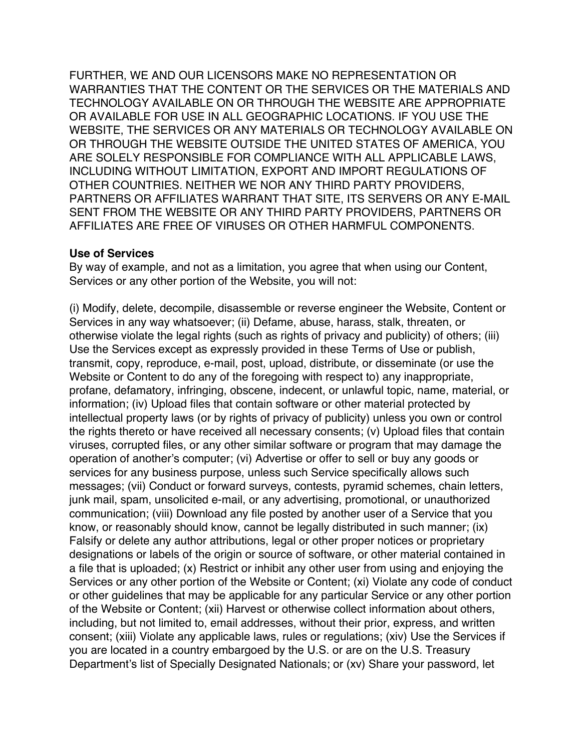FURTHER, WE AND OUR LICENSORS MAKE NO REPRESENTATION OR WARRANTIES THAT THE CONTENT OR THE SERVICES OR THE MATERIALS AND TECHNOLOGY AVAILABLE ON OR THROUGH THE WEBSITE ARE APPROPRIATE OR AVAILABLE FOR USE IN ALL GEOGRAPHIC LOCATIONS. IF YOU USE THE WEBSITE, THE SERVICES OR ANY MATERIALS OR TECHNOLOGY AVAILABLE ON OR THROUGH THE WEBSITE OUTSIDE THE UNITED STATES OF AMERICA, YOU ARE SOLELY RESPONSIBLE FOR COMPLIANCE WITH ALL APPLICABLE LAWS, INCLUDING WITHOUT LIMITATION, EXPORT AND IMPORT REGULATIONS OF OTHER COUNTRIES. NEITHER WE NOR ANY THIRD PARTY PROVIDERS, PARTNERS OR AFFILIATES WARRANT THAT SITE, ITS SERVERS OR ANY E-MAIL SENT FROM THE WEBSITE OR ANY THIRD PARTY PROVIDERS, PARTNERS OR AFFILIATES ARE FREE OF VIRUSES OR OTHER HARMFUL COMPONENTS.

#### **Use of Services**

By way of example, and not as a limitation, you agree that when using our Content, Services or any other portion of the Website, you will not:

(i) Modify, delete, decompile, disassemble or reverse engineer the Website, Content or Services in any way whatsoever; (ii) Defame, abuse, harass, stalk, threaten, or otherwise violate the legal rights (such as rights of privacy and publicity) of others; (iii) Use the Services except as expressly provided in these Terms of Use or publish, transmit, copy, reproduce, e-mail, post, upload, distribute, or disseminate (or use the Website or Content to do any of the foregoing with respect to) any inappropriate, profane, defamatory, infringing, obscene, indecent, or unlawful topic, name, material, or information; (iv) Upload files that contain software or other material protected by intellectual property laws (or by rights of privacy of publicity) unless you own or control the rights thereto or have received all necessary consents; (v) Upload files that contain viruses, corrupted files, or any other similar software or program that may damage the operation of another's computer; (vi) Advertise or offer to sell or buy any goods or services for any business purpose, unless such Service specifically allows such messages; (vii) Conduct or forward surveys, contests, pyramid schemes, chain letters, junk mail, spam, unsolicited e-mail, or any advertising, promotional, or unauthorized communication; (viii) Download any file posted by another user of a Service that you know, or reasonably should know, cannot be legally distributed in such manner; (ix) Falsify or delete any author attributions, legal or other proper notices or proprietary designations or labels of the origin or source of software, or other material contained in a file that is uploaded; (x) Restrict or inhibit any other user from using and enjoying the Services or any other portion of the Website or Content; (xi) Violate any code of conduct or other guidelines that may be applicable for any particular Service or any other portion of the Website or Content; (xii) Harvest or otherwise collect information about others, including, but not limited to, email addresses, without their prior, express, and written consent; (xiii) Violate any applicable laws, rules or regulations; (xiv) Use the Services if you are located in a country embargoed by the U.S. or are on the U.S. Treasury Department's list of Specially Designated Nationals; or (xv) Share your password, let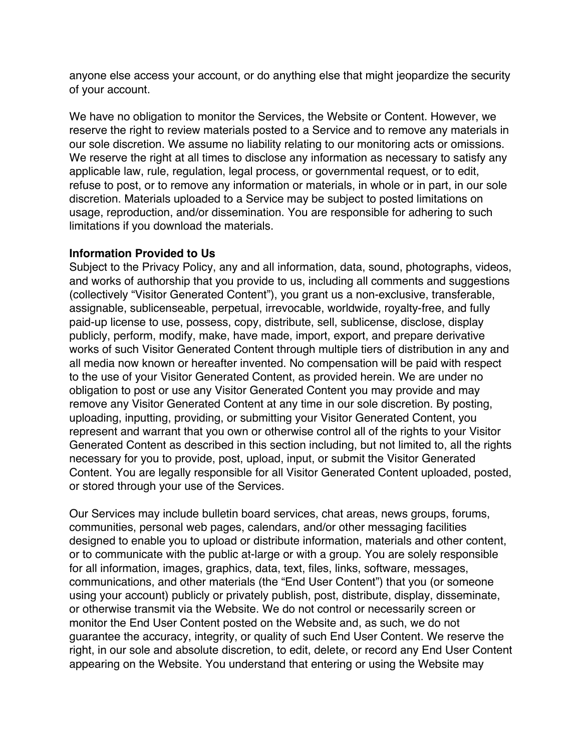anyone else access your account, or do anything else that might jeopardize the security of your account.

We have no obligation to monitor the Services, the Website or Content. However, we reserve the right to review materials posted to a Service and to remove any materials in our sole discretion. We assume no liability relating to our monitoring acts or omissions. We reserve the right at all times to disclose any information as necessary to satisfy any applicable law, rule, regulation, legal process, or governmental request, or to edit, refuse to post, or to remove any information or materials, in whole or in part, in our sole discretion. Materials uploaded to a Service may be subject to posted limitations on usage, reproduction, and/or dissemination. You are responsible for adhering to such limitations if you download the materials.

#### **Information Provided to Us**

Subject to the Privacy Policy, any and all information, data, sound, photographs, videos, and works of authorship that you provide to us, including all comments and suggestions (collectively "Visitor Generated Content"), you grant us a non-exclusive, transferable, assignable, sublicenseable, perpetual, irrevocable, worldwide, royalty-free, and fully paid-up license to use, possess, copy, distribute, sell, sublicense, disclose, display publicly, perform, modify, make, have made, import, export, and prepare derivative works of such Visitor Generated Content through multiple tiers of distribution in any and all media now known or hereafter invented. No compensation will be paid with respect to the use of your Visitor Generated Content, as provided herein. We are under no obligation to post or use any Visitor Generated Content you may provide and may remove any Visitor Generated Content at any time in our sole discretion. By posting, uploading, inputting, providing, or submitting your Visitor Generated Content, you represent and warrant that you own or otherwise control all of the rights to your Visitor Generated Content as described in this section including, but not limited to, all the rights necessary for you to provide, post, upload, input, or submit the Visitor Generated Content. You are legally responsible for all Visitor Generated Content uploaded, posted, or stored through your use of the Services.

Our Services may include bulletin board services, chat areas, news groups, forums, communities, personal web pages, calendars, and/or other messaging facilities designed to enable you to upload or distribute information, materials and other content, or to communicate with the public at-large or with a group. You are solely responsible for all information, images, graphics, data, text, files, links, software, messages, communications, and other materials (the "End User Content") that you (or someone using your account) publicly or privately publish, post, distribute, display, disseminate, or otherwise transmit via the Website. We do not control or necessarily screen or monitor the End User Content posted on the Website and, as such, we do not guarantee the accuracy, integrity, or quality of such End User Content. We reserve the right, in our sole and absolute discretion, to edit, delete, or record any End User Content appearing on the Website. You understand that entering or using the Website may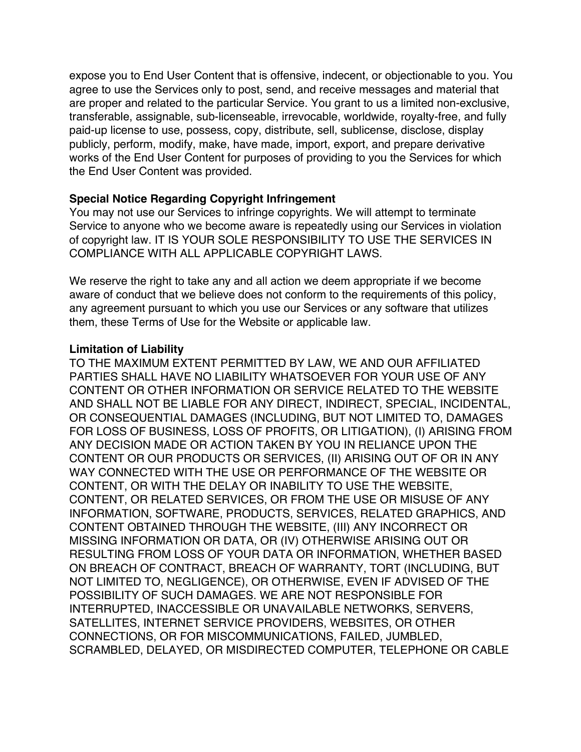expose you to End User Content that is offensive, indecent, or objectionable to you. You agree to use the Services only to post, send, and receive messages and material that are proper and related to the particular Service. You grant to us a limited non-exclusive, transferable, assignable, sub-licenseable, irrevocable, worldwide, royalty-free, and fully paid-up license to use, possess, copy, distribute, sell, sublicense, disclose, display publicly, perform, modify, make, have made, import, export, and prepare derivative works of the End User Content for purposes of providing to you the Services for which the End User Content was provided.

# **Special Notice Regarding Copyright Infringement**

You may not use our Services to infringe copyrights. We will attempt to terminate Service to anyone who we become aware is repeatedly using our Services in violation of copyright law. IT IS YOUR SOLE RESPONSIBILITY TO USE THE SERVICES IN COMPLIANCE WITH ALL APPLICABLE COPYRIGHT LAWS.

We reserve the right to take any and all action we deem appropriate if we become aware of conduct that we believe does not conform to the requirements of this policy, any agreement pursuant to which you use our Services or any software that utilizes them, these Terms of Use for the Website or applicable law.

# **Limitation of Liability**

TO THE MAXIMUM EXTENT PERMITTED BY LAW, WE AND OUR AFFILIATED PARTIES SHALL HAVE NO LIABILITY WHATSOEVER FOR YOUR USE OF ANY CONTENT OR OTHER INFORMATION OR SERVICE RELATED TO THE WEBSITE AND SHALL NOT BE LIABLE FOR ANY DIRECT, INDIRECT, SPECIAL, INCIDENTAL, OR CONSEQUENTIAL DAMAGES (INCLUDING, BUT NOT LIMITED TO, DAMAGES FOR LOSS OF BUSINESS, LOSS OF PROFITS, OR LITIGATION), (I) ARISING FROM ANY DECISION MADE OR ACTION TAKEN BY YOU IN RELIANCE UPON THE CONTENT OR OUR PRODUCTS OR SERVICES, (II) ARISING OUT OF OR IN ANY WAY CONNECTED WITH THE USE OR PERFORMANCE OF THE WEBSITE OR CONTENT, OR WITH THE DELAY OR INABILITY TO USE THE WEBSITE, CONTENT, OR RELATED SERVICES, OR FROM THE USE OR MISUSE OF ANY INFORMATION, SOFTWARE, PRODUCTS, SERVICES, RELATED GRAPHICS, AND CONTENT OBTAINED THROUGH THE WEBSITE, (III) ANY INCORRECT OR MISSING INFORMATION OR DATA, OR (IV) OTHERWISE ARISING OUT OR RESULTING FROM LOSS OF YOUR DATA OR INFORMATION, WHETHER BASED ON BREACH OF CONTRACT, BREACH OF WARRANTY, TORT (INCLUDING, BUT NOT LIMITED TO, NEGLIGENCE), OR OTHERWISE, EVEN IF ADVISED OF THE POSSIBILITY OF SUCH DAMAGES. WE ARE NOT RESPONSIBLE FOR INTERRUPTED, INACCESSIBLE OR UNAVAILABLE NETWORKS, SERVERS, SATELLITES, INTERNET SERVICE PROVIDERS, WEBSITES, OR OTHER CONNECTIONS, OR FOR MISCOMMUNICATIONS, FAILED, JUMBLED, SCRAMBLED, DELAYED, OR MISDIRECTED COMPUTER, TELEPHONE OR CABLE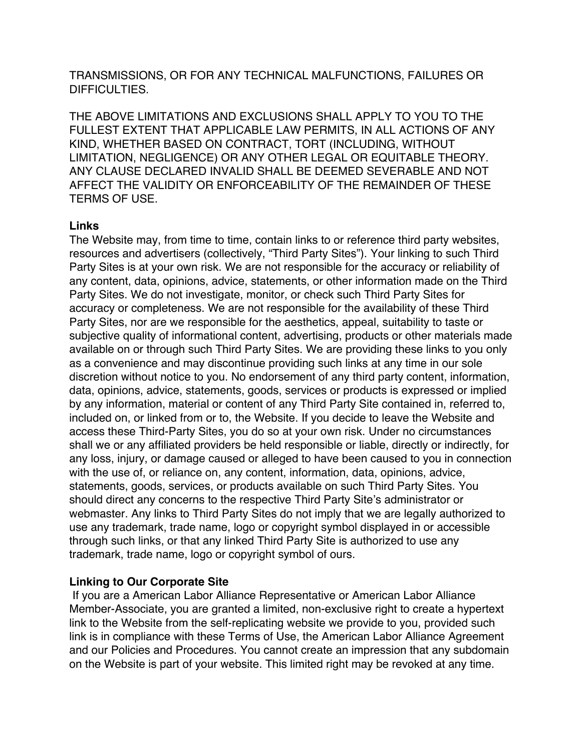TRANSMISSIONS, OR FOR ANY TECHNICAL MALFUNCTIONS, FAILURES OR DIFFICULTIES.

THE ABOVE LIMITATIONS AND EXCLUSIONS SHALL APPLY TO YOU TO THE FULLEST EXTENT THAT APPLICABLE LAW PERMITS, IN ALL ACTIONS OF ANY KIND, WHETHER BASED ON CONTRACT, TORT (INCLUDING, WITHOUT LIMITATION, NEGLIGENCE) OR ANY OTHER LEGAL OR EQUITABLE THEORY. ANY CLAUSE DECLARED INVALID SHALL BE DEEMED SEVERABLE AND NOT AFFECT THE VALIDITY OR ENFORCEABILITY OF THE REMAINDER OF THESE TERMS OF USE.

# **Links**

The Website may, from time to time, contain links to or reference third party websites, resources and advertisers (collectively, "Third Party Sites"). Your linking to such Third Party Sites is at your own risk. We are not responsible for the accuracy or reliability of any content, data, opinions, advice, statements, or other information made on the Third Party Sites. We do not investigate, monitor, or check such Third Party Sites for accuracy or completeness. We are not responsible for the availability of these Third Party Sites, nor are we responsible for the aesthetics, appeal, suitability to taste or subjective quality of informational content, advertising, products or other materials made available on or through such Third Party Sites. We are providing these links to you only as a convenience and may discontinue providing such links at any time in our sole discretion without notice to you. No endorsement of any third party content, information, data, opinions, advice, statements, goods, services or products is expressed or implied by any information, material or content of any Third Party Site contained in, referred to, included on, or linked from or to, the Website. If you decide to leave the Website and access these Third-Party Sites, you do so at your own risk. Under no circumstances shall we or any affiliated providers be held responsible or liable, directly or indirectly, for any loss, injury, or damage caused or alleged to have been caused to you in connection with the use of, or reliance on, any content, information, data, opinions, advice, statements, goods, services, or products available on such Third Party Sites. You should direct any concerns to the respective Third Party Site's administrator or webmaster. Any links to Third Party Sites do not imply that we are legally authorized to use any trademark, trade name, logo or copyright symbol displayed in or accessible through such links, or that any linked Third Party Site is authorized to use any trademark, trade name, logo or copyright symbol of ours.

# **Linking to Our Corporate Site**

If you are a American Labor Alliance Representative or American Labor Alliance Member-Associate, you are granted a limited, non-exclusive right to create a hypertext link to the Website from the self-replicating website we provide to you, provided such link is in compliance with these Terms of Use, the American Labor Alliance Agreement and our Policies and Procedures. You cannot create an impression that any subdomain on the Website is part of your website. This limited right may be revoked at any time.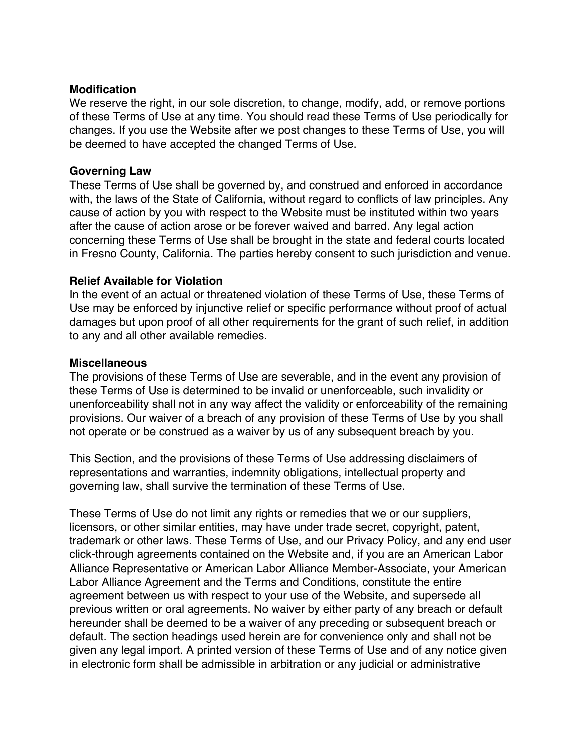#### **Modification**

We reserve the right, in our sole discretion, to change, modify, add, or remove portions of these Terms of Use at any time. You should read these Terms of Use periodically for changes. If you use the Website after we post changes to these Terms of Use, you will be deemed to have accepted the changed Terms of Use.

# **Governing Law**

These Terms of Use shall be governed by, and construed and enforced in accordance with, the laws of the State of California, without regard to conflicts of law principles. Any cause of action by you with respect to the Website must be instituted within two years after the cause of action arose or be forever waived and barred. Any legal action concerning these Terms of Use shall be brought in the state and federal courts located in Fresno County, California. The parties hereby consent to such jurisdiction and venue.

# **Relief Available for Violation**

In the event of an actual or threatened violation of these Terms of Use, these Terms of Use may be enforced by injunctive relief or specific performance without proof of actual damages but upon proof of all other requirements for the grant of such relief, in addition to any and all other available remedies.

# **Miscellaneous**

The provisions of these Terms of Use are severable, and in the event any provision of these Terms of Use is determined to be invalid or unenforceable, such invalidity or unenforceability shall not in any way affect the validity or enforceability of the remaining provisions. Our waiver of a breach of any provision of these Terms of Use by you shall not operate or be construed as a waiver by us of any subsequent breach by you.

This Section, and the provisions of these Terms of Use addressing disclaimers of representations and warranties, indemnity obligations, intellectual property and governing law, shall survive the termination of these Terms of Use.

These Terms of Use do not limit any rights or remedies that we or our suppliers, licensors, or other similar entities, may have under trade secret, copyright, patent, trademark or other laws. These Terms of Use, and our Privacy Policy, and any end user click-through agreements contained on the Website and, if you are an American Labor Alliance Representative or American Labor Alliance Member-Associate, your American Labor Alliance Agreement and the Terms and Conditions, constitute the entire agreement between us with respect to your use of the Website, and supersede all previous written or oral agreements. No waiver by either party of any breach or default hereunder shall be deemed to be a waiver of any preceding or subsequent breach or default. The section headings used herein are for convenience only and shall not be given any legal import. A printed version of these Terms of Use and of any notice given in electronic form shall be admissible in arbitration or any judicial or administrative